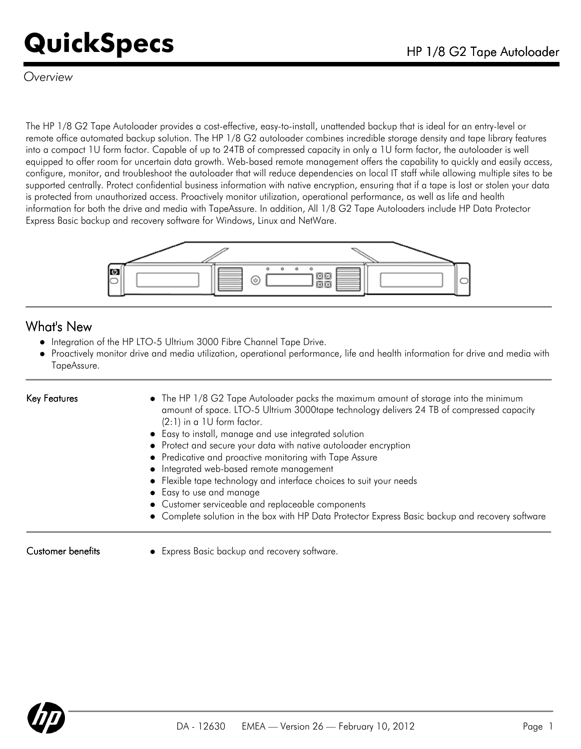### *Overview*

The HP 1/8 G2 Tape Autoloader provides a cost-effective, easy-to-install, unattended backup that is ideal for an entry-level or remote office automated backup solution. The HP 1/8 G2 autoloader combines incredible storage density and tape library features into a compact 1U form factor. Capable of up to 24TB of compressed capacity in only a 1U form factor, the autoloader is well equipped to offer room for uncertain data growth. Web-based remote management offers the capability to quickly and easily access, configure, monitor, and troubleshoot the autoloader that will reduce dependencies on local IT staff while allowing multiple sites to be supported centrally. Protect confidential business information with native encryption, ensuring that if a tape is lost or stolen your data is protected from unauthorized access. Proactively monitor utilization, operational performance, as well as life and health information for both the drive and media with TapeAssure. In addition, All 1/8 G2 Tape Autoloaders include HP Data Protector Express Basic backup and recovery software for Windows, Linux and NetWare.



### What's New

- $\bullet$  Integration of the HP LTO-5 Ultrium 3000 Fibre Channel Tape Drive.
- Proactively monitor drive and media utilization, operational performance, life and health information for drive and media with TapeAssure.

- Key Features **The HP 1/8 G2 Tape Autoloader packs the maximum amount of storage into the minimum** amount of space. LTO-5 Ultrium 3000tape technology delivers 24 TB of compressed capacity (2:1) in a 1U form factor.
	- Easy to install, manage and use integrated solution
	- Protect and secure your data with native autoloader encryption
	- Predicative and proactive monitoring with Tape Assure
	- $\bullet$  Integrated web-based remote management
	- Flexible tape technology and interface choices to suit your needs
	- Easy to use and manage
	- Customer serviceable and replaceable components
	- Complete solution in the box with HP Data Protector Express Basic backup and recovery software

Customer benefits • Express Basic backup and recovery software.

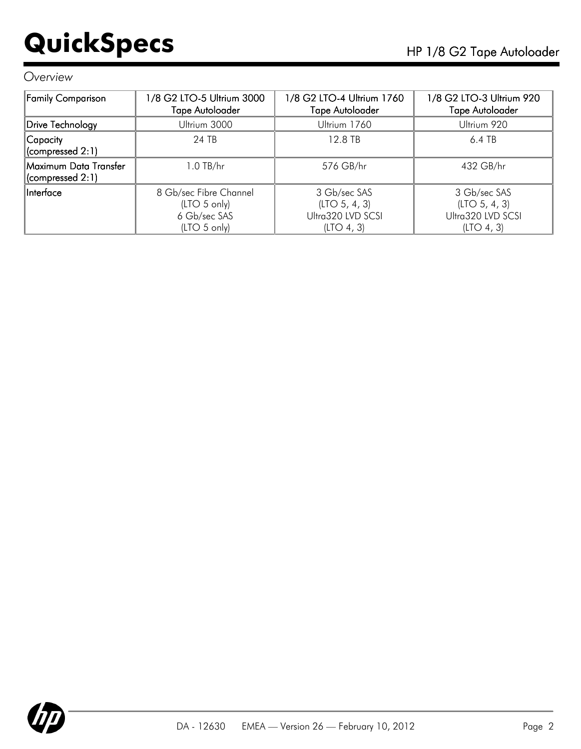### *Overview*

| Family Comparison                             | 1/8 G2 LTO-5 Ultrium 3000<br><b>Tape Autoloader</b>                    | 1/8 G2 LTO-4 Ultrium 1760<br>Tape Autoloader                     | 1/8 G2 LTO-3 Ultrium 920<br><b>Tape Autoloader</b>               |  |
|-----------------------------------------------|------------------------------------------------------------------------|------------------------------------------------------------------|------------------------------------------------------------------|--|
| Drive Technology                              | Ultrium 3000                                                           | Ultrium 1760                                                     | Ultrium 920                                                      |  |
| Capacity<br>$ $ (compressed 2:1)              | 24 TB                                                                  | 12.8 TB                                                          | $6.4$ TB                                                         |  |
| Maximum Data Transfer<br>$ $ (compressed 2:1) | $1.0$ TB/hr                                                            | 576 GB/hr                                                        | 432 GB/hr                                                        |  |
| Interface                                     | 8 Gb/sec Fibre Channel<br>(LTO 5 only)<br>6 Gb/sec SAS<br>(LTO 5 only) | 3 Gb/sec SAS<br>(LTO 5, 4, 3)<br>Ultra320 LVD SCSI<br>(LTO 4, 3) | 3 Gb/sec SAS<br>(LTO 5, 4, 3)<br>Ultra320 LVD SCSI<br>(LTO 4, 3) |  |

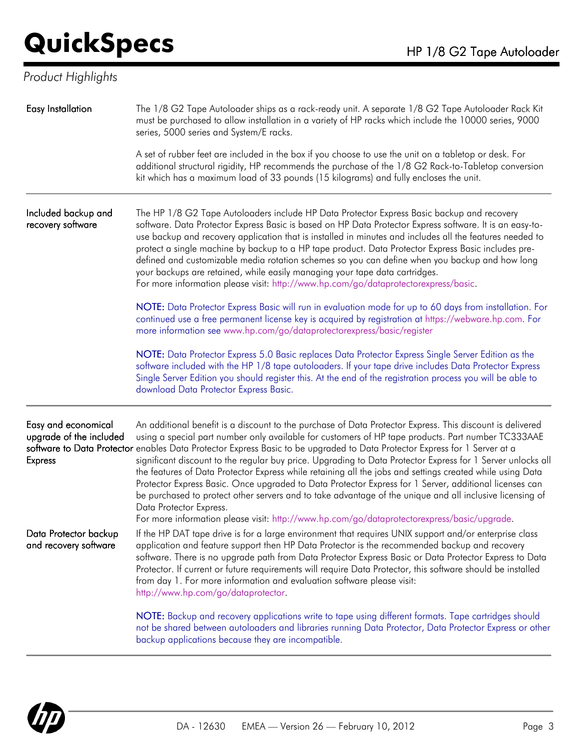## *Product Highlights*

| Easy Installation                                                | The 1/8 G2 Tape Autoloader ships as a rack-ready unit. A separate 1/8 G2 Tape Autoloader Rack Kit<br>must be purchased to allow installation in a variety of HP racks which include the 10000 series, 9000<br>series, 5000 series and System/E racks.                                                                                                                                                                                                                                                                                                                                                                                                                                                                                                                                                                                                                                                                     |
|------------------------------------------------------------------|---------------------------------------------------------------------------------------------------------------------------------------------------------------------------------------------------------------------------------------------------------------------------------------------------------------------------------------------------------------------------------------------------------------------------------------------------------------------------------------------------------------------------------------------------------------------------------------------------------------------------------------------------------------------------------------------------------------------------------------------------------------------------------------------------------------------------------------------------------------------------------------------------------------------------|
|                                                                  | A set of rubber feet are included in the box if you choose to use the unit on a tabletop or desk. For<br>additional structural rigidity, HP recommends the purchase of the 1/8 G2 Rack-to-Tabletop conversion<br>kit which has a maximum load of 33 pounds (15 kilograms) and fully encloses the unit.                                                                                                                                                                                                                                                                                                                                                                                                                                                                                                                                                                                                                    |
| Included backup and<br>recovery software                         | The HP 1/8 G2 Tape Autoloaders include HP Data Protector Express Basic backup and recovery<br>software. Data Protector Express Basic is based on HP Data Protector Express software. It is an easy-to-<br>use backup and recovery application that is installed in minutes and includes all the features needed to<br>protect a single machine by backup to a HP tape product. Data Protector Express Basic includes pre-<br>defined and customizable media rotation schemes so you can define when you backup and how long<br>your backups are retained, while easily managing your tape data cartridges.<br>For more information please visit: http://www.hp.com/go/dataprotectorexpress/basic.                                                                                                                                                                                                                         |
|                                                                  | NOTE: Data Protector Express Basic will run in evaluation mode for up to 60 days from installation. For<br>continued use a free permanent license key is acquired by registration at https://webware.hp.com. For<br>more information see www.hp.com/go/dataprotectorexpress/basic/register                                                                                                                                                                                                                                                                                                                                                                                                                                                                                                                                                                                                                                |
|                                                                  | NOTE: Data Protector Express 5.0 Basic replaces Data Protector Express Single Server Edition as the<br>software included with the HP 1/8 tape autoloaders. If your tape drive includes Data Protector Express<br>Single Server Edition you should register this. At the end of the registration process you will be able to<br>download Data Protector Express Basic.                                                                                                                                                                                                                                                                                                                                                                                                                                                                                                                                                     |
| Easy and economical<br>upgrade of the included<br><b>Express</b> | An additional benefit is a discount to the purchase of Data Protector Express. This discount is delivered<br>using a special part number only available for customers of HP tape products. Part number TC333AAE<br>software to Data Protector enables Data Protector Express Basic to be upgraded to Data Protector Express for 1 Server at a<br>significant discount to the regular buy price. Upgrading to Data Protector Express for 1 Server unlocks all<br>the features of Data Protector Express while retaining all the jobs and settings created while using Data<br>Protector Express Basic. Once upgraded to Data Protector Express for 1 Server, additional licenses can<br>be purchased to protect other servers and to take advantage of the unique and all inclusive licensing of<br>Data Protector Express.<br>For more information please visit: http://www.hp.com/go/dataprotectorexpress/basic/upgrade. |
| Data Protector backup<br>and recovery software                   | If the HP DAT tape drive is for a large environment that requires UNIX support and/or enterprise class<br>application and feature support then HP Data Protector is the recommended backup and recovery<br>software. There is no upgrade path from Data Protector Express Basic or Data Protector Express to Data<br>Protector. If current or future requirements will require Data Protector, this software should be installed<br>from day 1. For more information and evaluation software please visit:<br>http://www.hp.com/go/dataprotector.                                                                                                                                                                                                                                                                                                                                                                         |
|                                                                  | NOTE: Backup and recovery applications write to tape using different formats. Tape cartridges should<br>not be shared between autoloaders and libraries running Data Protector, Data Protector Express or other<br>backup applications because they are incompatible.                                                                                                                                                                                                                                                                                                                                                                                                                                                                                                                                                                                                                                                     |

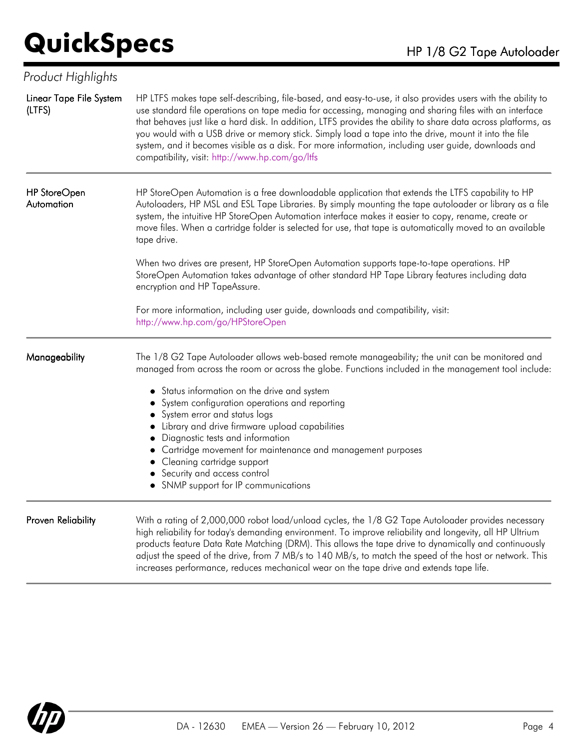| Product Highlights                |                                                                                                                                                                                                                                                                                                                                                                                                                                                                                                                                                                                                           |
|-----------------------------------|-----------------------------------------------------------------------------------------------------------------------------------------------------------------------------------------------------------------------------------------------------------------------------------------------------------------------------------------------------------------------------------------------------------------------------------------------------------------------------------------------------------------------------------------------------------------------------------------------------------|
| Linear Tape File System<br>(LTFS) | HP LTFS makes tape self-describing, file-based, and easy-to-use, it also provides users with the ability to<br>use standard file operations on tape media for accessing, managing and sharing files with an interface<br>that behaves just like a hard disk. In addition, LTFS provides the ability to share data across platforms, as<br>you would with a USB drive or memory stick. Simply load a tape into the drive, mount it into the file<br>system, and it becomes visible as a disk. For more information, including user guide, downloads and<br>compatibility, visit: http://www.hp.com/go/ltfs |
| HP StoreOpen<br>Automation        | HP StoreOpen Automation is a free downloadable application that extends the LTFS capability to HP<br>Autoloaders, HP MSL and ESL Tape Libraries. By simply mounting the tape autoloader or library as a file<br>system, the intuitive HP StoreOpen Automation interface makes it easier to copy, rename, create or<br>move files. When a cartridge folder is selected for use, that tape is automatically moved to an available<br>tape drive.                                                                                                                                                            |
|                                   | When two drives are present, HP StoreOpen Automation supports tape-to-tape operations. HP<br>StoreOpen Automation takes advantage of other standard HP Tape Library features including data<br>encryption and HP TapeAssure.                                                                                                                                                                                                                                                                                                                                                                              |
|                                   | For more information, including user guide, downloads and compatibility, visit:<br>http://www.hp.com/go/HPStoreOpen                                                                                                                                                                                                                                                                                                                                                                                                                                                                                       |
| Manageability                     | The 1/8 G2 Tape Autoloader allows web-based remote manageability; the unit can be monitored and<br>managed from across the room or across the globe. Functions included in the management tool include:                                                                                                                                                                                                                                                                                                                                                                                                   |
|                                   | • Status information on the drive and system                                                                                                                                                                                                                                                                                                                                                                                                                                                                                                                                                              |
|                                   | System configuration operations and reporting                                                                                                                                                                                                                                                                                                                                                                                                                                                                                                                                                             |
|                                   | System error and status logs                                                                                                                                                                                                                                                                                                                                                                                                                                                                                                                                                                              |
|                                   | Library and drive firmware upload capabilities<br>• Diagnostic tests and information                                                                                                                                                                                                                                                                                                                                                                                                                                                                                                                      |
|                                   | Cartridge movement for maintenance and management purposes                                                                                                                                                                                                                                                                                                                                                                                                                                                                                                                                                |
|                                   | • Cleaning cartridge support                                                                                                                                                                                                                                                                                                                                                                                                                                                                                                                                                                              |
|                                   | • Security and access control                                                                                                                                                                                                                                                                                                                                                                                                                                                                                                                                                                             |
|                                   | • SNMP support for IP communications                                                                                                                                                                                                                                                                                                                                                                                                                                                                                                                                                                      |
| Proven Reliability                | With a rating of 2,000,000 robot load/unload cycles, the 1/8 G2 Tape Autoloader provides necessary<br>high reliability for today's demanding environment. To improve reliability and longevity, all HP Ultrium<br>products feature Data Rate Matching (DRM). This allows the tape drive to dynamically and continuously<br>adjust the speed of the drive, from 7 MB/s to 140 MB/s, to match the speed of the host or network. This<br>increases performance, reduces mechanical wear on the tape drive and extends tape life.                                                                             |

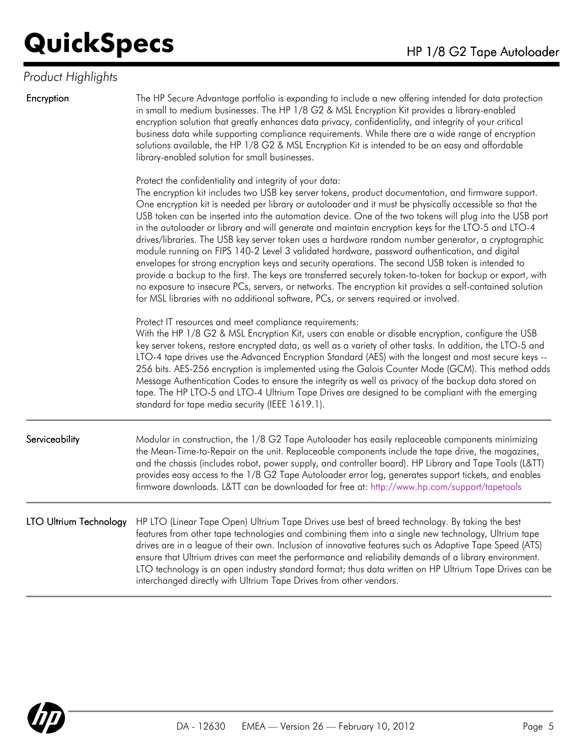### *Product Highlights*

Encryption The HP Secure Advantage portfolio is expanding to include a new offering intended for data protection in small to medium businesses. The HP 1/8 G2 & MSL Encryption Kit provides a library-enabled encryption solution that greatly enhances data privacy, confidentiality, and integrity of your critical business data while supporting compliance requirements. While there are a wide range of encryption solutions available, the HP 1/8 G2 & MSL Encryption Kit is intended to be an easy and affordable library-enabled solution for small businesses.

Protect the confidentiality and integrity of your data:

The encryption kit includes two USB key server tokens, product documentation, and firmware support. One encryption kit is needed per library or autoloader and it must be physically accessible so that the USB token can be inserted into the automation device. One of the two tokens will plug into the USB port in the autoloader or library and will generate and maintain encryption keys for the LTO-5 and LTO-4 drives/libraries. The USB key server token uses a hardware random number generator, a cryptographic module running on FIPS 140-2 Level 3 validated hardware, password authentication, and digital envelopes for strong encryption keys and security operations. The second USB token is intended to provide a backup to the first. The keys are transferred securely token-to-token for backup or export, with no exposure to insecure PCs, servers, or networks. The encryption kit provides a self-contained solution for MSL libraries with no additional software, PCs, or servers required or involved.

Protect IT resources and meet compliance requirements:

With the HP 1/8 G2 & MSL Encryption Kit, users can enable or disable encryption, configure the USB key server tokens, restore encrypted data, as well as a variety of other tasks. In addition, the LTO-5 and LTO-4 tape drives use the Advanced Encryption Standard (AES) with the longest and most secure keys -- 256 bits. AES-256 encryption is implemented using the Galois Counter Mode (GCM). This method adds Message Authentication Codes to ensure the integrity as well as privacy of the backup data stored on tape. The HP LTO-5 and LTO-4 Ultrium Tape Drives are designed to be compliant with the emerging standard for tape media security (IEEE 1619.1).

Serviceability Modular in construction, the 1/8 G2 Tape Autoloader has easily replaceable components minimizing the Mean-Time-to-Repair on the unit. Replaceable components include the tape drive, the magazines, and the chassis (includes robot, power supply, and controller board). HP Library and Tape Tools (L&TT) provides easy access to the 1/8 G2 Tape Autoloader error log, generates support tickets, and enables firmware downloads. L&TT can be downloaded for free at: <http://www.hp.com/support/tapetools>

LTO Ultrium Technology HP LTO (Linear Tape Open) Ultrium Tape Drives use best of breed technology. By taking the best features from other tape technologies and combining them into a single new technology, Ultrium tape drives are in a league of their own. Inclusion of innovative features such as Adaptive Tape Speed (ATS) ensure that Ultrium drives can meet the performance and reliability demands of a library environment. LTO technology is an open industry standard format; thus data written on HP Ultrium Tape Drives can be interchanged directly with Ultrium Tape Drives from other vendors.

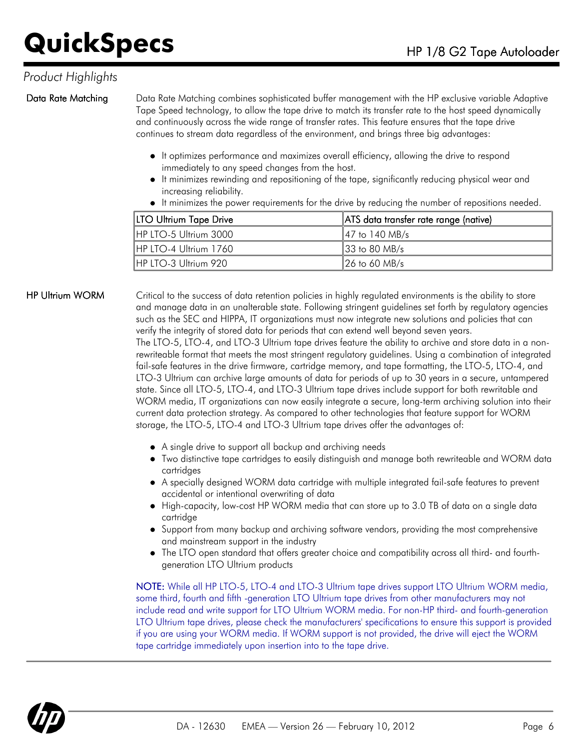### *Product Highlights*

Data Rate Matching Data Rate Matching combines sophisticated buffer management with the HP exclusive variable Adaptive Tape Speed technology, to allow the tape drive to match its transfer rate to the host speed dynamically and continuously across the wide range of transfer rates. This feature ensures that the tape drive continues to stream data regardless of the environment, and brings three big advantages:

- It optimizes performance and maximizes overall efficiency, allowing the drive to respond immediately to any speed changes from the host.
- It minimizes rewinding and repositioning of the tape, significantly reducing physical wear and increasing reliability.
- It minimizes the power requirements for the drive by reducing the number of repositions needed.

| <b>LTO Ultrium Tape Drive</b> | ATS data transfer rate range (native) |  |
|-------------------------------|---------------------------------------|--|
| IHP LTO-5 Ultrium 3000        | 147 to 140 MB/s                       |  |
| IHP LTO-4 Ultrium 1760        | $133$ to 80 MB/s                      |  |
| IHP LTO-3 Ultrium 920         | 126 to 60 MB/s                        |  |

HP Ultrium WORM Critical to the success of data retention policies in highly regulated environments is the ability to store and manage data in an unalterable state. Following stringent guidelines set forth by regulatory agencies such as the SEC and HIPPA, IT organizations must now integrate new solutions and policies that can verify the integrity of stored data for periods that can extend well beyond seven years.

The LTO-5, LTO-4, and LTO-3 Ultrium tape drives feature the ability to archive and store data in a nonrewriteable format that meets the most stringent regulatory guidelines. Using a combination of integrated fail-safe features in the drive firmware, cartridge memory, and tape formatting, the LTO-5, LTO-4, and LTO-3 Ultrium can archive large amounts of data for periods of up to 30 years in a secure, untampered state. Since all LTO-5, LTO-4, and LTO-3 Ultrium tape drives include support for both rewritable and WORM media, IT organizations can now easily integrate a secure, long-term archiving solution into their current data protection strategy. As compared to other technologies that feature support for WORM storage, the LTO-5, LTO-4 and LTO-3 Ultrium tape drives offer the advantages of:

- A single drive to support all backup and archiving needs
- Two distinctive tape cartridges to easily distinguish and manage both rewriteable and WORM data cartridges
- A specially designed WORM data cartridge with multiple integrated fail-safe features to prevent accidental or intentional overwriting of data
- High-capacity, low-cost HP WORM media that can store up to 3.0 TB of data on a single data cartridge
- Support from many backup and archiving software vendors, providing the most comprehensive and mainstream support in the industry
- The LTO open standard that offers greater choice and compatibility across all third- and fourthgeneration LTO Ultrium products

NOTE: While all HP LTO-5, LTO-4 and LTO-3 Ultrium tape drives support LTO Ultrium WORM media, some third, fourth and fifth -generation LTO Ultrium tape drives from other manufacturers may not include read and write support for LTO Ultrium WORM media. For non-HP third- and fourth-generation LTO Ultrium tape drives, please check the manufacturers' specifications to ensure this support is provided if you are using your WORM media. If WORM support is not provided, the drive will eject the WORM tape cartridge immediately upon insertion into to the tape drive.

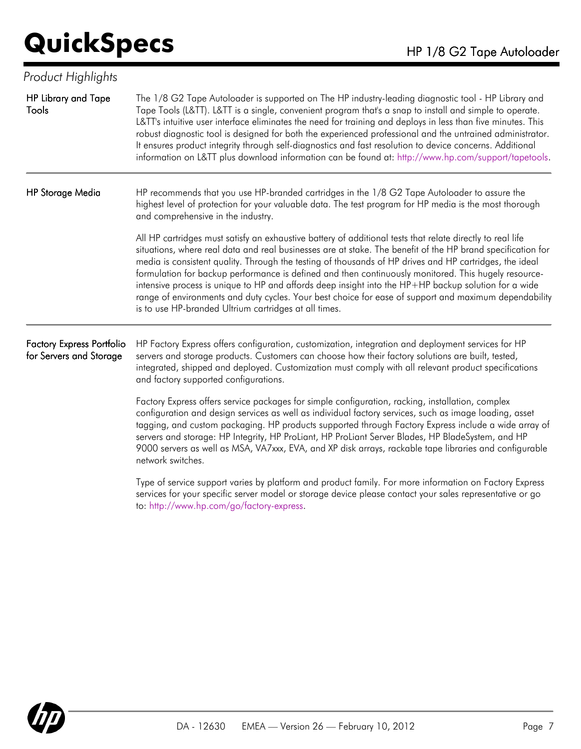| Product Highlights                                          |                                                                                                                                                                                                                                                                                                                                                                                                                                                                                                                                                                                                                                                                                                                        |
|-------------------------------------------------------------|------------------------------------------------------------------------------------------------------------------------------------------------------------------------------------------------------------------------------------------------------------------------------------------------------------------------------------------------------------------------------------------------------------------------------------------------------------------------------------------------------------------------------------------------------------------------------------------------------------------------------------------------------------------------------------------------------------------------|
| <b>HP Library and Tape</b><br>Tools                         | The 1/8 G2 Tape Autoloader is supported on The HP industry-leading diagnostic tool - HP Library and<br>Tape Tools (L&TT). L&TT is a single, convenient program that's a snap to install and simple to operate.<br>L&TT's intuitive user interface eliminates the need for training and deploys in less than five minutes. This<br>robust diagnostic tool is designed for both the experienced professional and the untrained administrator.<br>It ensures product integrity through self-diagnostics and fast resolution to device concerns. Additional<br>information on L&TT plus download information can be found at: http://www.hp.com/support/tapetools.                                                         |
| <b>HP Storage Media</b>                                     | HP recommends that you use HP-branded cartridges in the 1/8 G2 Tape Autoloader to assure the<br>highest level of protection for your valuable data. The test program for HP media is the most thorough<br>and comprehensive in the industry.                                                                                                                                                                                                                                                                                                                                                                                                                                                                           |
|                                                             | All HP cartridges must satisfy an exhaustive battery of additional tests that relate directly to real life<br>situations, where real data and real businesses are at stake. The benefit of the HP brand specification for<br>media is consistent quality. Through the testing of thousands of HP drives and HP cartridges, the ideal<br>formulation for backup performance is defined and then continuously monitored. This hugely resource-<br>intensive process is unique to HP and affords deep insight into the HP+HP backup solution for a wide<br>range of environments and duty cycles. Your best choice for ease of support and maximum dependability<br>is to use HP-branded Ultrium cartridges at all times. |
| <b>Factory Express Portfolio</b><br>for Servers and Storage | HP Factory Express offers configuration, customization, integration and deployment services for HP<br>servers and storage products. Customers can choose how their factory solutions are built, tested,<br>integrated, shipped and deployed. Customization must comply with all relevant product specifications<br>and factory supported configurations.                                                                                                                                                                                                                                                                                                                                                               |
|                                                             | Factory Express offers service packages for simple configuration, racking, installation, complex<br>configuration and design services as well as individual factory services, such as image loading, asset<br>tagging, and custom packaging. HP products supported through Factory Express include a wide array of<br>servers and storage: HP Integrity, HP ProLiant, HP ProLiant Server Blades, HP BladeSystem, and HP<br>9000 servers as well as MSA, VA7xxx, EVA, and XP disk arrays, rackable tape libraries and configurable<br>network switches.                                                                                                                                                                 |
|                                                             | Type of service support varies by platform and product family. For more information on Factory Express<br>services for your specific server model or storage device please contact your sales representative or go<br>to: http://www.hp.com/go/factory-express.                                                                                                                                                                                                                                                                                                                                                                                                                                                        |

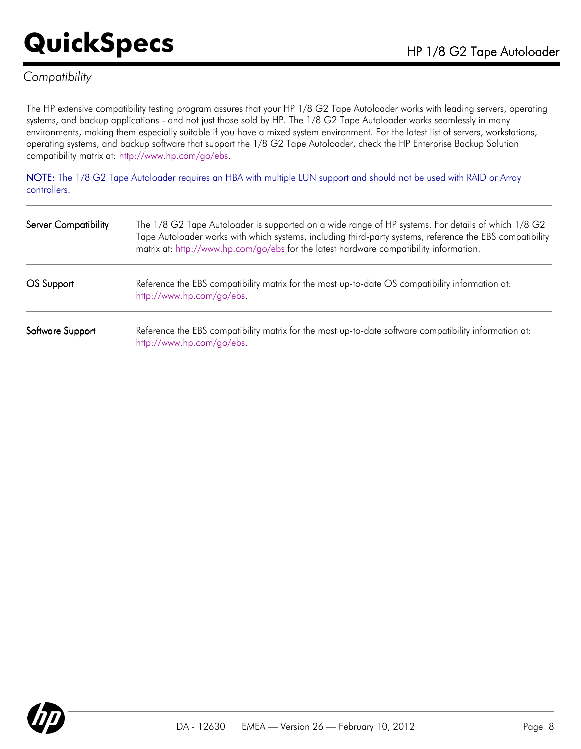### *Compatibility*

The HP extensive compatibility testing program assures that your HP 1/8 G2 Tape Autoloader works with leading servers, operating systems, and backup applications - and not just those sold by HP. The 1/8 G2 Tape Autoloader works seamlessly in many environments, making them especially suitable if you have a mixed system environment. For the latest list of servers, workstations, operating systems, and backup software that support the 1/8 G2 Tape Autoloader, check the HP Enterprise Backup Solution compatibility matrix at: <http://www.hp.com/go/ebs>.

NOTE: The 1/8 G2 Tape Autoloader requires an HBA with multiple LUN support and should not be used with RAID or Array controllers.

| <b>Server Compatibility</b> | The 1/8 G2 Tape Autoloader is supported on a wide range of HP systems. For details of which 1/8 G2<br>Tape Autoloader works with which systems, including third-party systems, reference the EBS compatibility<br>matrix at: http://www.hp.com/go/ebs for the latest hardware compatibility information. |
|-----------------------------|----------------------------------------------------------------------------------------------------------------------------------------------------------------------------------------------------------------------------------------------------------------------------------------------------------|
| OS Support                  | Reference the EBS compatibility matrix for the most up-to-date OS compatibility information at:<br>http://www.hp.com/go/ebs.                                                                                                                                                                             |
| Software Support            | Reference the EBS compatibility matrix for the most up-to-date software compatibility information at:<br>http://www.hp.com/go/ebs.                                                                                                                                                                       |

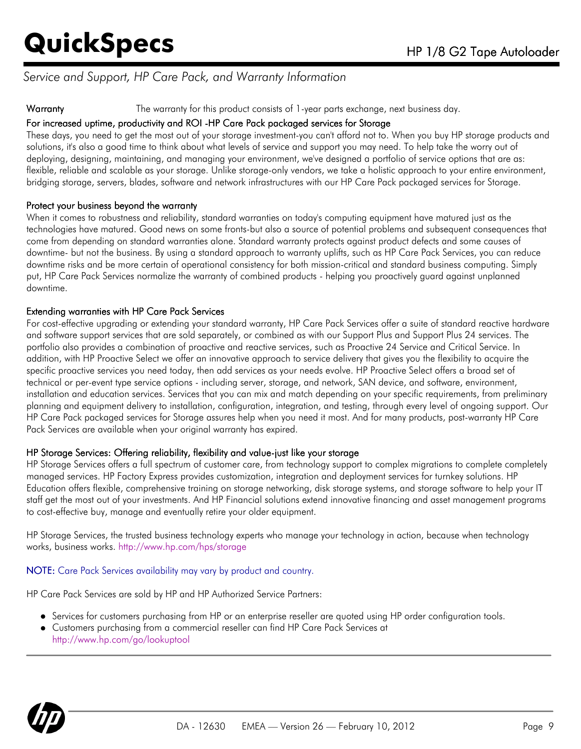### *Service and Support, HP Care Pack, and Warranty Information*

Warranty The warranty for this product consists of 1-year parts exchange, next business day.

### For increased uptime, productivity and ROI -HP Care Pack packaged services for Storage

These days, you need to get the most out of your storage investment-you can't afford not to. When you buy HP storage products and solutions, it's also a good time to think about what levels of service and support you may need. To help take the worry out of deploying, designing, maintaining, and managing your environment, we've designed a portfolio of service options that are as: flexible, reliable and scalable as your storage. Unlike storage-only vendors, we take a holistic approach to your entire environment, bridging storage, servers, blades, software and network infrastructures with our HP Care Pack packaged services for Storage.

### Protect your business beyond the warranty

When it comes to robustness and reliability, standard warranties on today's computing equipment have matured just as the technologies have matured. Good news on some fronts-but also a source of potential problems and subsequent consequences that come from depending on standard warranties alone. Standard warranty protects against product defects and some causes of downtime- but not the business. By using a standard approach to warranty uplifts, such as HP Care Pack Services, you can reduce downtime risks and be more certain of operational consistency for both mission-critical and standard business computing. Simply put, HP Care Pack Services normalize the warranty of combined products - helping you proactively guard against unplanned downtime.

### Extending warranties with HP Care Pack Services

For cost-effective upgrading or extending your standard warranty, HP Care Pack Services offer a suite of standard reactive hardware and software support services that are sold separately, or combined as with our Support Plus and Support Plus 24 services. The portfolio also provides a combination of proactive and reactive services, such as Proactive 24 Service and Critical Service. In addition, with HP Proactive Select we offer an innovative approach to service delivery that gives you the flexibility to acquire the specific proactive services you need today, then add services as your needs evolve. HP Proactive Select offers a broad set of technical or per-event type service options - including server, storage, and network, SAN device, and software, environment, installation and education services. Services that you can mix and match depending on your specific requirements, from preliminary planning and equipment delivery to installation, configuration, integration, and testing, through every level of ongoing support. Our HP Care Pack packaged services for Storage assures help when you need it most. And for many products, post-warranty HP Care Pack Services are available when your original warranty has expired.

### HP Storage Services: Offering reliability, flexibility and value-just like your storage

HP Storage Services offers a full spectrum of customer care, from technology support to complex migrations to complete completely managed services. HP Factory Express provides customization, integration and deployment services for turnkey solutions. HP Education offers flexible, comprehensive training on storage networking, disk storage systems, and storage software to help your IT staff get the most out of your investments. And HP Financial solutions extend innovative financing and asset management programs to cost-effective buy, manage and eventually retire your older equipment.

HP Storage Services, the trusted business technology experts who manage your technology in action, because when technology works, business works. <http://www.hp.com/hps/storage>

### NOTE: Care Pack Services availability may vary by product and country.

HP Care Pack Services are sold by HP and HP Authorized Service Partners:

- Services for customers purchasing from HP or an enterprise reseller are quoted using HP order configuration tools.
- Customers purchasing from a commercial reseller can find HP Care Pack Services at <http://www.hp.com/go/lookuptool>

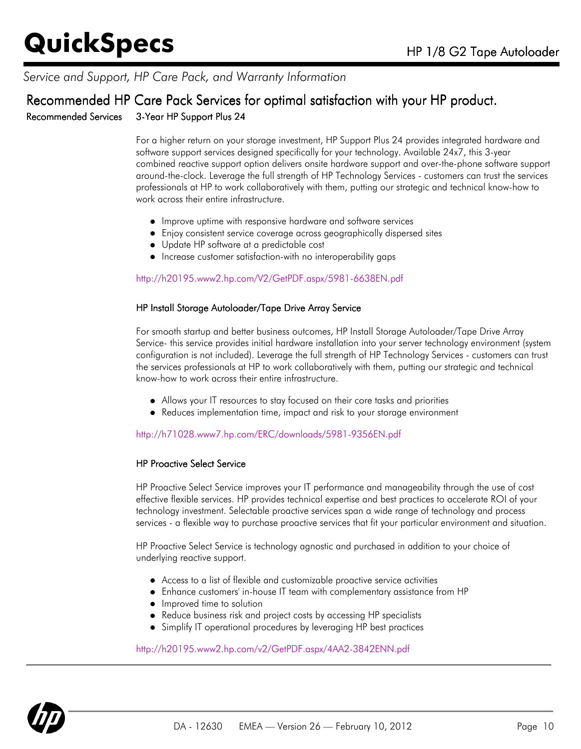### *Service and Support, HP Care Pack, and Warranty Information*

### Recommended HP Care Pack Services for optimal satisfaction with your HP product. Recommended Services 3-Year HP Support Plus 24

For a higher return on your storage investment, HP Support Plus 24 provides integrated hardware and software support services designed specifically for your technology. Available 24x7, this 3-year combined reactive support option delivers onsite hardware support and over-the-phone software support around-the-clock. Leverage the full strength of HP Technology Services - customers can trust the services professionals at HP to work collaboratively with them, putting our strategic and technical know-how to work across their entire infrastructure.

- $\bullet$  Improve uptime with responsive hardware and software services
- Enjoy consistent service coverage across geographically dispersed sites
- Update HP software at a predictable cost
- Increase customer satisfaction-with no interoperability gaps

### <http://h20195.www2.hp.com/V2/GetPDF.aspx/5981-6638EN.pdf>

#### HP Install Storage Autoloader/Tape Drive Array Service

For smooth startup and better business outcomes, HP Install Storage Autoloader/Tape Drive Array Service- this service provides initial hardware installation into your server technology environment (system configuration is not included). Leverage the full strength of HP Technology Services - customers can trust the services professionals at HP to work collaboratively with them, putting our strategic and technical know-how to work across their entire infrastructure.

- Allows your IT resources to stay focused on their core tasks and priorities
- Reduces implementation time, impact and risk to your storage environment

#### <http://h71028.www7.hp.com/ERC/downloads/5981-9356EN.pdf>

#### HP Proactive Select Service

HP Proactive Select Service improves your IT performance and manageability through the use of cost effective flexible services. HP provides technical expertise and best practices to accelerate ROI of your technology investment. Selectable proactive services span a wide range of technology and process services - a flexible way to purchase proactive services that fit your particular environment and situation.

HP Proactive Select Service is technology agnostic and purchased in addition to your choice of underlying reactive support.

- Access to a list of flexible and customizable proactive service activities
- Enhance customers' in-house IT team with complementary assistance from HP
- Improved time to solution
- Reduce business risk and project costs by accessing HP specialists
- Simplify IT operational procedures by leveraging HP best practices

#### <http://h20195.www2.hp.com/v2/GetPDF.aspx/4AA2-3842ENN.pdf>

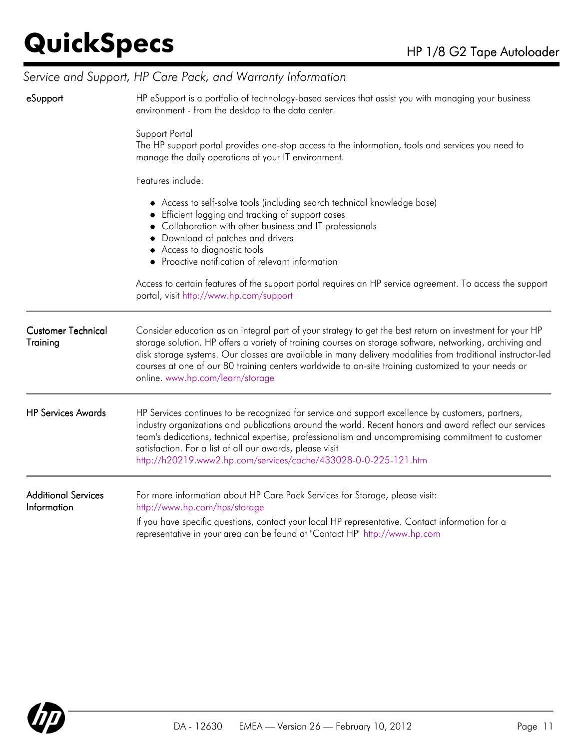## *Service and Support, HP Care Pack, and Warranty Information*

| eSupport                                  | HP eSupport is a portfolio of technology-based services that assist you with managing your business<br>environment - from the desktop to the data center.                                                                                                                                                                                                                                                                                                                      |  |  |
|-------------------------------------------|--------------------------------------------------------------------------------------------------------------------------------------------------------------------------------------------------------------------------------------------------------------------------------------------------------------------------------------------------------------------------------------------------------------------------------------------------------------------------------|--|--|
|                                           | Support Portal<br>The HP support portal provides one-stop access to the information, tools and services you need to<br>manage the daily operations of your IT environment.                                                                                                                                                                                                                                                                                                     |  |  |
|                                           | Features include:                                                                                                                                                                                                                                                                                                                                                                                                                                                              |  |  |
|                                           | • Access to self-solve tools (including search technical knowledge base)<br>• Efficient logging and tracking of support cases<br>Collaboration with other business and IT professionals<br>Download of patches and drivers<br>• Access to diagnostic tools<br>• Proactive notification of relevant information                                                                                                                                                                 |  |  |
|                                           | Access to certain features of the support portal requires an HP service agreement. To access the support<br>portal, visit http://www.hp.com/support                                                                                                                                                                                                                                                                                                                            |  |  |
| <b>Customer Technical</b><br>Training     | Consider education as an integral part of your strategy to get the best return on investment for your HP<br>storage solution. HP offers a variety of training courses on storage software, networking, archiving and<br>disk storage systems. Our classes are available in many delivery modalities from traditional instructor-led<br>courses at one of our 80 training centers worldwide to on-site training customized to your needs or<br>online. www.hp.com/learn/storage |  |  |
| <b>HP Services Awards</b>                 | HP Services continues to be recognized for service and support excellence by customers, partners,<br>industry organizations and publications around the world. Recent honors and award reflect our services<br>team's dedications, technical expertise, professionalism and uncompromising commitment to customer<br>satisfaction. For a list of all our awards, please visit<br>http://h20219.www2.hp.com/services/cache/433028-0-0-225-121.htm                               |  |  |
| <b>Additional Services</b><br>Information | For more information about HP Care Pack Services for Storage, please visit:<br>http://www.hp.com/hps/storage                                                                                                                                                                                                                                                                                                                                                                   |  |  |
|                                           | If you have specific questions, contact your local HP representative. Contact information for a<br>representative in your area can be found at "Contact HP" http://www.hp.com                                                                                                                                                                                                                                                                                                  |  |  |

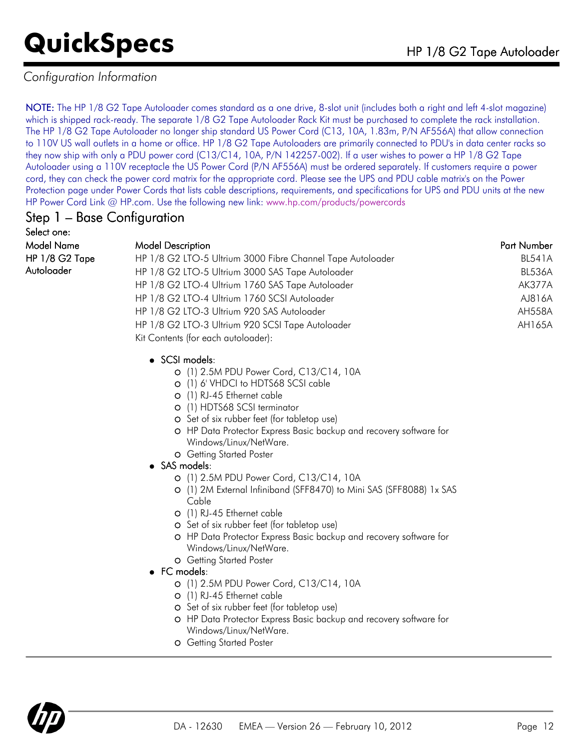### *Configuration Information*

NOTE: The HP 1/8 G2 Tape Autoloader comes standard as a one drive, 8-slot unit (includes both a right and left 4-slot magazine) which is shipped rack-ready. The separate 1/8 G2 Tape Autoloader Rack Kit must be purchased to complete the rack installation. The HP 1/8 G2 Tape Autoloader no longer ship standard US Power Cord (C13, 10A, 1.83m, P/N AF556A) that allow connection to 110V US wall outlets in a home or office. HP 1/8 G2 Tape Autoloaders are primarily connected to PDU's in data center racks so they now ship with only a PDU power cord (C13/C14, 10A, P/N 142257-002). If a user wishes to power a HP 1/8 G2 Tape Autoloader using a 110V receptacle the US Power Cord (P/N AF556A) must be ordered separately. If customers require a power cord, they can check the power cord matrix for the appropriate cord. Please see the UPS and PDU cable matrix's on the Power Protection page under Power Cords that lists cable descriptions, requirements, and specifications for UPS and PDU units at the new HP Power Cord Link @ HP.com. Use the following new link: [www.hp.com/products/powercords](http://www.hp.com/products/powercords)

### Step 1 – Base Configuration

Select one: HP 1/8 G2 Tape Autoloader

| Model Name     | <b>Model Description</b>                                   | Part Number   |
|----------------|------------------------------------------------------------|---------------|
| HP 1/8 G2 Tape | HP 1/8 G2 LTO-5 Ultrium 3000 Fibre Channel Tape Autoloader | <b>BL541A</b> |
| Autoloader     | HP 1/8 G2 LTO-5 Ultrium 3000 SAS Tape Autoloader           | <b>BL536A</b> |
|                | HP 1/8 G2 LTO-4 Ultrium 1760 SAS Tape Autoloader           | AK377A        |
|                | HP 1/8 G2 LTO-4 Ultrium 1760 SCSI Autoloader               | AJ816A        |
|                | HP 1/8 G2 LTO-3 Ultrium 920 SAS Autoloader                 | <b>AH558A</b> |
|                | HP 1/8 G2 LTO-3 Ultrium 920 SCSI Tape Autoloader           | AH165A        |
|                | Kit Contents (for each autoloader):                        |               |

### • SCSI models:

- (1) 2.5M PDU Power Cord, C13/C14, 10A
- (1) 6' VHDCI to HDTS68 SCSI cable
- (1) RJ-45 Ethernet cable
- (1) HDTS68 SCSI terminator
- O Set of six rubber feet (for tabletop use)
- HP Data Protector Express Basic backup and recovery software for Windows/Linux/NetWare.
- Getting Started Poster
- SAS models:
	- (1) 2.5M PDU Power Cord, C13/C14, 10A
	- (1) 2M External Infiniband (SFF8470) to Mini SAS (SFF8088) 1x SAS Cable
	- (1) RJ-45 Ethernet cable
	- O Set of six rubber feet (for tabletop use)
	- HP Data Protector Express Basic backup and recovery software for Windows/Linux/NetWare.
	- Getting Started Poster
- FC models:
	- (1) 2.5M PDU Power Cord, C13/C14, 10A
	- (1) RJ-45 Ethernet cable
	- O Set of six rubber feet (for tabletop use)
	- HP Data Protector Express Basic backup and recovery software for Windows/Linux/NetWare.
	- Getting Started Poster

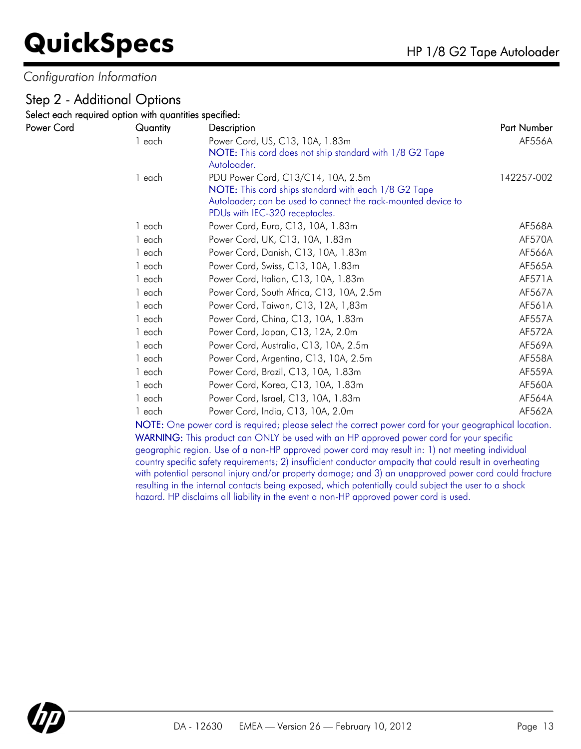*Configuration Information*

### Step 2 - Additional Options

Select each required option with quantities specified:

| Power Cord | Quantity | Description                                                   | Part Number |
|------------|----------|---------------------------------------------------------------|-------------|
|            | 1 each   | Power Cord, US, C13, 10A, 1.83m                               | AF556A      |
|            |          | NOTE: This cord does not ship standard with 1/8 G2 Tape       |             |
|            |          | Autoloader.                                                   |             |
|            | 1 each   | PDU Power Cord, C13/C14, 10A, 2.5m                            | 142257-002  |
|            |          | NOTE: This cord ships standard with each 1/8 G2 Tape          |             |
|            |          | Autoloader; can be used to connect the rack-mounted device to |             |
|            |          | PDUs with IEC-320 receptacles.                                |             |
|            | 1 each   | Power Cord, Euro, C13, 10A, 1.83m                             | AF568A      |
|            | 1 each   | Power Cord, UK, C13, 10A, 1.83m                               | AF570A      |
|            | 1 each   | Power Cord, Danish, C13, 10A, 1.83m                           | AF566A      |
|            | 1 each   | Power Cord, Swiss, C13, 10A, 1.83m                            | AF565A      |
|            | 1 each   | Power Cord, Italian, C13, 10A, 1.83m                          | AF571A      |
|            | 1 each   | Power Cord, South Africa, C13, 10A, 2.5m                      | AF567A      |
|            | 1 each   | Power Cord, Taiwan, C13, 12A, 1,83m                           | AF561A      |
|            | 1 each   | Power Cord, China, C13, 10A, 1.83m                            | AF557A      |
|            | 1 each   | Power Cord, Japan, C13, 12A, 2.0m                             | AF572A      |
|            | 1 each   | Power Cord, Australia, C13, 10A, 2.5m                         | AF569A      |
|            | 1 each   | Power Cord, Argentina, C13, 10A, 2.5m                         | AF558A      |
|            | 1 each   | Power Cord, Brazil, C13, 10A, 1.83m                           | AF559A      |
|            | 1 each   | Power Cord, Korea, C13, 10A, 1.83m                            | AF560A      |
|            | 1 each   | Power Cord, Israel, C13, 10A, 1.83m                           | AF564A      |
|            | 1 each   | Power Cord, India, C13, 10A, 2.0m                             | AF562A      |

NOTE: One power cord is required; please select the correct power cord for your geographical location. WARNING: This product can ONLY be used with an HP approved power cord for your specific geographic region. Use of a non-HP approved power cord may result in: 1) not meeting individual country specific safety requirements; 2) insufficient conductor ampacity that could result in overheating with potential personal injury and/or property damage; and 3) an unapproved power cord could fracture resulting in the internal contacts being exposed, which potentially could subject the user to a shock hazard. HP disclaims all liability in the event a non-HP approved power cord is used.

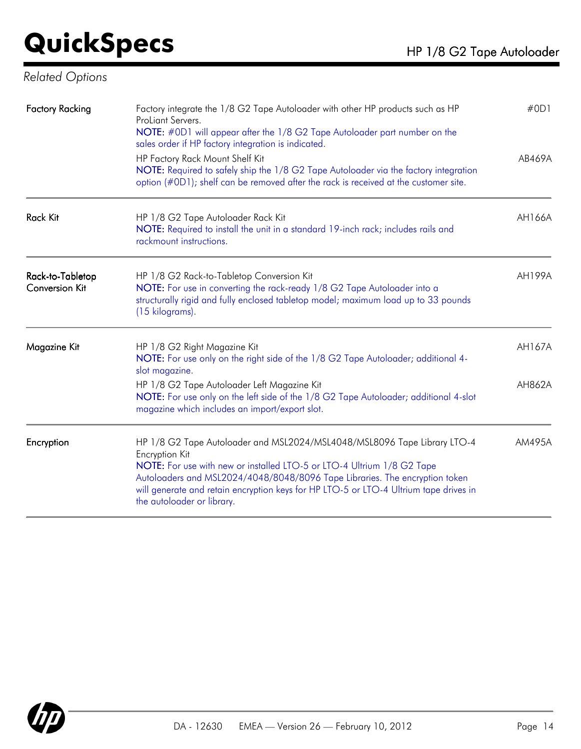*Related Options*

| <b>Factory Racking</b>                    | Factory integrate the 1/8 G2 Tape Autoloader with other HP products such as HP<br>ProLiant Servers.<br>NOTE: #0D1 will appear after the 1/8 G2 Tape Autoloader part number on the<br>sales order if HP factory integration is indicated.<br>HP Factory Rack Mount Shelf Kit<br>NOTE: Required to safely ship the 1/8 G2 Tape Autoloader via the factory integration<br>option (#0D1); shelf can be removed after the rack is received at the customer site. | #OD1<br>AB469A   |
|-------------------------------------------|-------------------------------------------------------------------------------------------------------------------------------------------------------------------------------------------------------------------------------------------------------------------------------------------------------------------------------------------------------------------------------------------------------------------------------------------------------------|------------------|
| <b>Rack Kit</b>                           | HP 1/8 G2 Tape Autoloader Rack Kit<br>NOTE: Required to install the unit in a standard 19-inch rack; includes rails and<br>rackmount instructions.                                                                                                                                                                                                                                                                                                          | AH166A           |
| Rack-to-Tabletop<br><b>Conversion Kit</b> | HP 1/8 G2 Rack-to-Tabletop Conversion Kit<br>NOTE: For use in converting the rack-ready 1/8 G2 Tape Autoloader into a<br>structurally rigid and fully enclosed tabletop model; maximum load up to 33 pounds<br>(15 kilograms).                                                                                                                                                                                                                              | <b>AH199A</b>    |
| Magazine Kit                              | HP 1/8 G2 Right Magazine Kit<br>NOTE: For use only on the right side of the 1/8 G2 Tape Autoloader; additional 4-<br>slot magazine.<br>HP 1/8 G2 Tape Autoloader Left Magazine Kit<br>NOTE: For use only on the left side of the 1/8 G2 Tape Autoloader; additional 4-slot<br>magazine which includes an import/export slot.                                                                                                                                | AH167A<br>AH862A |
| Encryption                                | HP 1/8 G2 Tape Autoloader and MSL2024/MSL4048/MSL8096 Tape Library LTO-4<br><b>Encryption Kit</b><br>NOTE: For use with new or installed LTO-5 or LTO-4 Ultrium 1/8 G2 Tape<br>Autoloaders and MSL2024/4048/8048/8096 Tape Libraries. The encryption token<br>will generate and retain encryption keys for HP LTO-5 or LTO-4 Ultrium tape drives in<br>the autoloader or library.                                                                           | AM495A           |

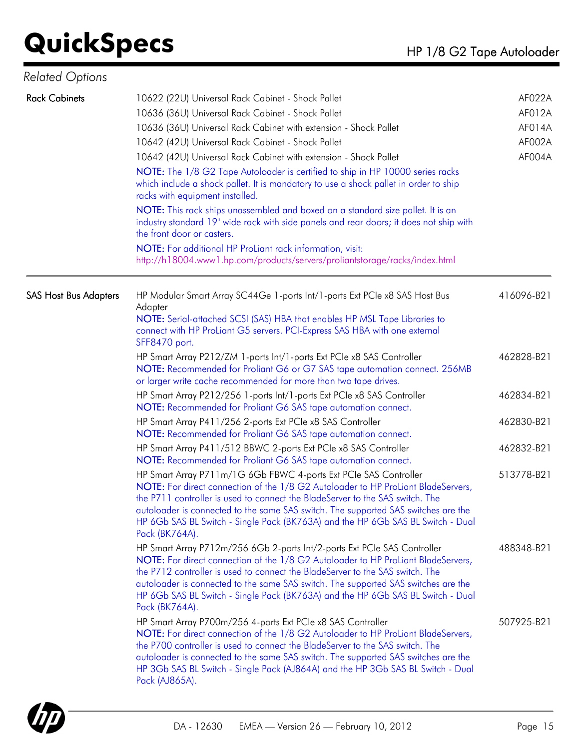| <b>Related Options</b>       |                                                                                                                                                                                                                                                                                                                                                                                                                                                                                                                                                                                                                                                                                                                                                                                                                                                                         |                                                |
|------------------------------|-------------------------------------------------------------------------------------------------------------------------------------------------------------------------------------------------------------------------------------------------------------------------------------------------------------------------------------------------------------------------------------------------------------------------------------------------------------------------------------------------------------------------------------------------------------------------------------------------------------------------------------------------------------------------------------------------------------------------------------------------------------------------------------------------------------------------------------------------------------------------|------------------------------------------------|
| <b>Rack Cabinets</b>         | 10622 (22U) Universal Rack Cabinet - Shock Pallet<br>10636 (36U) Universal Rack Cabinet - Shock Pallet<br>10636 (36U) Universal Rack Cabinet with extension - Shock Pallet<br>10642 (42U) Universal Rack Cabinet - Shock Pallet<br>10642 (42U) Universal Rack Cabinet with extension - Shock Pallet<br>NOTE: The 1/8 G2 Tape Autoloader is certified to ship in HP 10000 series racks<br>which include a shock pallet. It is mandatory to use a shock pallet in order to ship<br>racks with equipment installed.<br>NOTE: This rack ships unassembled and boxed on a standard size pallet. It is an<br>industry standard 19" wide rack with side panels and rear doors; it does not ship with<br>the front door or casters.<br>NOTE: For additional HP ProLiant rack information, visit:<br>http://h18004.www1.hp.com/products/servers/proliantstorage/racks/index.html | AF022A<br>AF012A<br>AF014A<br>AF002A<br>AF004A |
| <b>SAS Host Bus Adapters</b> | HP Modular Smart Array SC44Ge 1-ports Int/1-ports Ext PCIe x8 SAS Host Bus<br>Adapter<br>NOTE: Serial-attached SCSI (SAS) HBA that enables HP MSL Tape Libraries to<br>connect with HP ProLiant G5 servers. PCI-Express SAS HBA with one external<br>SFF8470 port.                                                                                                                                                                                                                                                                                                                                                                                                                                                                                                                                                                                                      | 416096-B21                                     |
|                              | HP Smart Array P212/ZM 1-ports Int/1-ports Ext PCIe x8 SAS Controller<br>NOTE: Recommended for Proliant G6 or G7 SAS tape automation connect. 256MB<br>or larger write cache recommended for more than two tape drives.                                                                                                                                                                                                                                                                                                                                                                                                                                                                                                                                                                                                                                                 | 462828-B21                                     |
|                              | HP Smart Array P212/256 1-ports Int/1-ports Ext PCIe x8 SAS Controller<br>NOTE: Recommended for Proliant G6 SAS tape automation connect.                                                                                                                                                                                                                                                                                                                                                                                                                                                                                                                                                                                                                                                                                                                                | 462834-B21                                     |
|                              | HP Smart Array P411/256 2-ports Ext PCIe x8 SAS Controller<br>NOTE: Recommended for Proliant G6 SAS tape automation connect.                                                                                                                                                                                                                                                                                                                                                                                                                                                                                                                                                                                                                                                                                                                                            | 462830-B21                                     |
|                              | HP Smart Array P411/512 BBWC 2-ports Ext PCIe x8 SAS Controller<br>NOTE: Recommended for Proliant G6 SAS tape automation connect.                                                                                                                                                                                                                                                                                                                                                                                                                                                                                                                                                                                                                                                                                                                                       | 462832-B21                                     |
|                              | HP Smart Array P711m/1G 6Gb FBWC 4-ports Ext PCIe SAS Controller<br>NOTE: For direct connection of the 1/8 G2 Autoloader to HP ProLiant BladeServers,<br>the P711 controller is used to connect the BladeServer to the SAS switch. The<br>autoloader is connected to the same SAS switch. The supported SAS switches are the<br>HP 6Gb SAS BL Switch - Single Pack (BK763A) and the HP 6Gb SAS BL Switch - Dual<br>Pack (BK764A).                                                                                                                                                                                                                                                                                                                                                                                                                                       | 513778-B21                                     |
|                              | HP Smart Array P712m/256 6Gb 2-ports Int/2-ports Ext PCIe SAS Controller<br>NOTE: For direct connection of the 1/8 G2 Autoloader to HP ProLiant BladeServers,<br>the P712 controller is used to connect the BladeServer to the SAS switch. The<br>autoloader is connected to the same SAS switch. The supported SAS switches are the<br>HP 6Gb SAS BL Switch - Single Pack (BK763A) and the HP 6Gb SAS BL Switch - Dual<br>Pack (BK764A).                                                                                                                                                                                                                                                                                                                                                                                                                               | 488348-B21                                     |
|                              | HP Smart Array P700m/256 4-ports Ext PCIe x8 SAS Controller<br>NOTE: For direct connection of the 1/8 G2 Autoloader to HP ProLiant BladeServers,<br>the P700 controller is used to connect the BladeServer to the SAS switch. The<br>autologider is connected to the same SAS switch. The supported SAS switches are the<br>HP 3Gb SAS BL Switch - Single Pack (AJ864A) and the HP 3Gb SAS BL Switch - Dual<br>Pack (AJ865A).                                                                                                                                                                                                                                                                                                                                                                                                                                           | 507925-B21                                     |

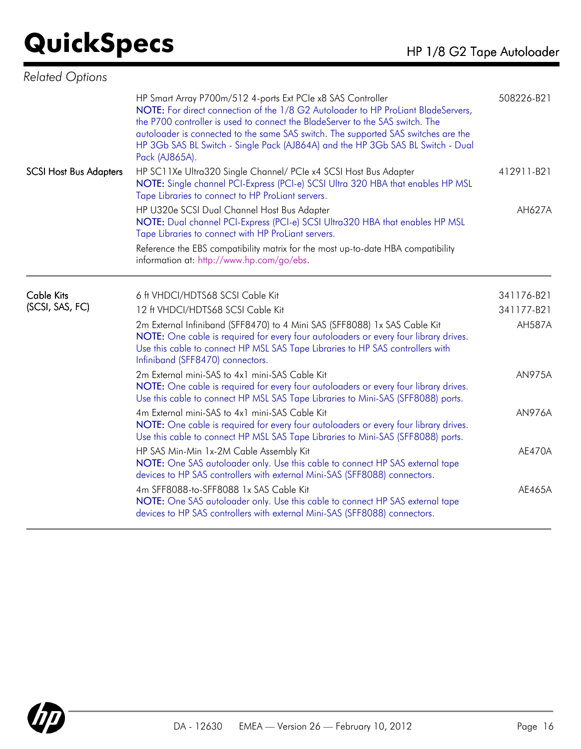| <b>Related Options</b>        |                                                                                                                                                                                                                                                                                                                                                                                                                              |               |
|-------------------------------|------------------------------------------------------------------------------------------------------------------------------------------------------------------------------------------------------------------------------------------------------------------------------------------------------------------------------------------------------------------------------------------------------------------------------|---------------|
|                               | HP Smart Array P700m/512 4-ports Ext PCIe x8 SAS Controller<br>NOTE: For direct connection of the 1/8 G2 Autoloader to HP ProLiant BladeServers,<br>the P700 controller is used to connect the BladeServer to the SAS switch. The<br>autoloader is connected to the same SAS switch. The supported SAS switches are the<br>HP 3Gb SAS BL Switch - Single Pack (AJ864A) and the HP 3Gb SAS BL Switch - Dual<br>Pack (AJ865A). | 508226-B21    |
| <b>SCSI Host Bus Adapters</b> | HP SC11Xe Ultra320 Single Channel/ PCle x4 SCSI Host Bus Adapter<br>NOTE: Single channel PCI-Express (PCI-e) SCSI Ultra 320 HBA that enables HP MSL<br>Tape Libraries to connect to HP ProLiant servers.                                                                                                                                                                                                                     | 412911-B21    |
|                               | HP U320e SCSI Dual Channel Host Bus Adapter<br>NOTE: Dual channel PCI-Express (PCI-e) SCSI Ultra320 HBA that enables HP MSL<br>Tape Libraries to connect with HP ProLiant servers.                                                                                                                                                                                                                                           | AH627A        |
|                               | Reference the EBS compatibility matrix for the most up-to-date HBA compatibility<br>information at: http://www.hp.com/go/ebs.                                                                                                                                                                                                                                                                                                |               |
| <b>Cable Kits</b>             | 6 ft VHDCI/HDTS68 SCSI Cable Kit                                                                                                                                                                                                                                                                                                                                                                                             | 341176-B21    |
| (SCSI, SAS, FC)               | 12 ft VHDCI/HDTS68 SCSI Cable Kit                                                                                                                                                                                                                                                                                                                                                                                            | 341177-B21    |
|                               | 2m External Infiniband (SFF8470) to 4 Mini SAS (SFF8088) 1x SAS Cable Kit<br>NOTE: One cable is required for every four autoloaders or every four library drives.<br>Use this cable to connect HP MSL SAS Tape Libraries to HP SAS controllers with<br>Infiniband (SFF8470) connectors.                                                                                                                                      | <b>AH587A</b> |
|                               | 2m External mini-SAS to 4x1 mini-SAS Cable Kit<br>NOTE: One cable is required for every four autoloaders or every four library drives.<br>Use this cable to connect HP MSL SAS Tape Libraries to Mini-SAS (SFF8088) ports.                                                                                                                                                                                                   | <b>AN975A</b> |
|                               | 4m External mini-SAS to 4x1 mini-SAS Cable Kit<br>NOTE: One cable is required for every four autoloaders or every four library drives.<br>Use this cable to connect HP MSL SAS Tape Libraries to Mini-SAS (SFF8088) ports.                                                                                                                                                                                                   | <b>AN976A</b> |
|                               | HP SAS Min-Min 1x-2M Cable Assembly Kit<br>NOTE: One SAS autoloader only. Use this cable to connect HP SAS external tape<br>devices to HP SAS controllers with external Mini-SAS (SFF8088) connectors.                                                                                                                                                                                                                       | <b>AE470A</b> |
|                               | 4m SFF8088-to-SFF8088 1x SAS Cable Kit<br>NOTE: One SAS autoloader only. Use this cable to connect HP SAS external tape<br>devices to HP SAS controllers with external Mini-SAS (SFF8088) connectors.                                                                                                                                                                                                                        | AE465A        |

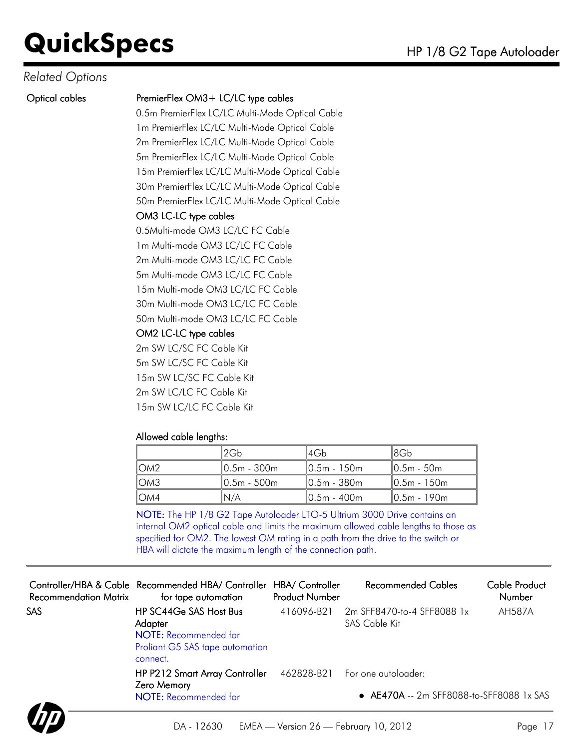### *Related Options*

#### Optical cables PremierFlex OM3 + LC/LC type cables

0.5m PremierFlex LC/LC Multi-Mode Optical Cable 1m PremierFlex LC/LC Multi-Mode Optical Cable 2m PremierFlex LC/LC Multi-Mode Optical Cable 5m PremierFlex LC/LC Multi-Mode Optical Cable 15m PremierFlex LC/LC Multi-Mode Optical Cable 30m PremierFlex LC/LC Multi-Mode Optical Cable 50m PremierFlex LC/LC Multi-Mode Optical Cable

### OM3 LC-LC type cables

0.5Multi-mode OM3 LC/LC FC Cable 1m Multi-mode OM3 LC/LC FC Cable 2m Multi-mode OM3 LC/LC FC Cable 5m Multi-mode OM3 LC/LC FC Cable 15m Multi-mode OM3 LC/LC FC Cable 30m Multi-mode OM3 LC/LC FC Cable

50m Multi-mode OM3 LC/LC FC Cable

### OM2 LC-LC type cables

2m SW LC/SC FC Cable Kit 5m SW LC/SC FC Cable Kit 15m SW LC/SC FC Cable Kit 2m SW LC/LC FC Cable Kit 15m SW LC/LC FC Cable Kit

### Allowed cable lengths:

|      | ‼2Gb∶        | l4Gh           | 18Gb           |
|------|--------------|----------------|----------------|
| LOM2 | I0.5m - 300m | $10.5m - 150m$ | I0.5m - 50m    |
| IOM3 | 10.5m - 500m | 10.5m - 380m   | $10.5m - 150m$ |
| LOM4 | N/A          | $10.5m - 400m$ | $10.5m - 190m$ |

NOTE: The HP 1/8 G2 Tape Autoloader LTO-5 Ultrium 3000 Drive contains an internal OM2 optical cable and limits the maximum allowed cable lengths to those as specified for OM2. The lowest OM rating in a path from the drive to the switch or HBA will dictate the maximum length of the connection path.

| for tape automation                         | <b>Product Number</b>                                                                                            | Recommended Cables             | Cable Product<br><b>Number</b>                                                                                                                                                 |
|---------------------------------------------|------------------------------------------------------------------------------------------------------------------|--------------------------------|--------------------------------------------------------------------------------------------------------------------------------------------------------------------------------|
|                                             | 416096-B21                                                                                                       | SAS Cable Kit                  | <b>AH587A</b>                                                                                                                                                                  |
| Zero Memory<br><b>NOTE:</b> Recommended for |                                                                                                                  |                                |                                                                                                                                                                                |
|                                             | HP SC44Ge SAS Host Bus<br>Adapter<br><b>NOTE:</b> Recommended for<br>Proliant G5 SAS tape automation<br>connect. | HP P212 Smart Array Controller | Controller/HBA & Cable Recommended HBA/ Controller HBA/ Controller<br>2m SFF8470-to-4 SFF8088 1x<br>462828-B21 For one autoloader:<br>• AE470A -- 2m SFF8088-to-SFF8088 1x SAS |

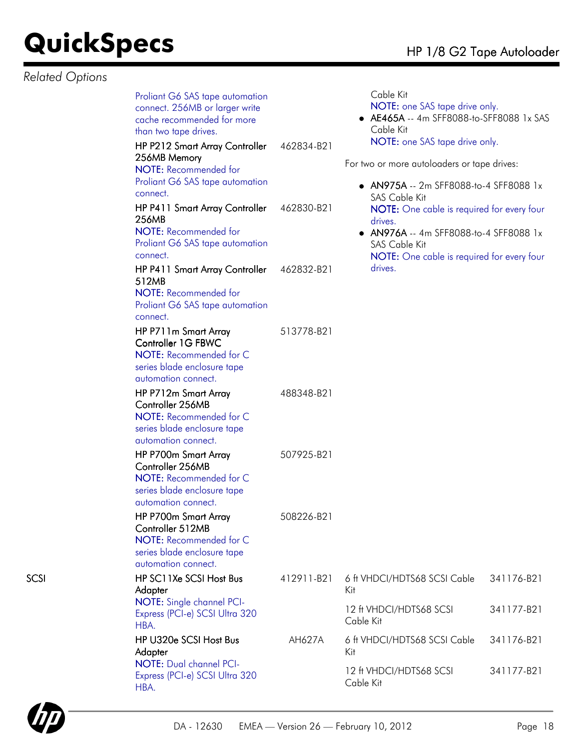*Related Options*

|      | Proliant G6 SAS tape automation<br>connect. 256MB or larger write<br>cache recommended for more<br>than two tape drives.<br>HP P212 Smart Array Controller<br>256MB Memory<br>NOTE: Recommended for<br>Proliant G6 SAS tape automation<br>connect. | 462834-B21 | Cable Kit<br>NOTE: one SAS tape drive only.<br>• AE465A -- 4m SFF8088-to-SFF8088 1x SAS<br>Cable Kit<br>NOTE: one SAS tape drive only.<br>For two or more autoloaders or tape drives:<br>• AN975A -- 2m SFF8088-to-4 SFF8088 1x |            |
|------|----------------------------------------------------------------------------------------------------------------------------------------------------------------------------------------------------------------------------------------------------|------------|---------------------------------------------------------------------------------------------------------------------------------------------------------------------------------------------------------------------------------|------------|
|      | HP P411 Smart Array Controller<br>256MB<br>NOTE: Recommended for<br>Proliant G6 SAS tape automation<br>connect.                                                                                                                                    | 462830-B21 | <b>SAS Cable Kit</b><br>NOTE: One cable is required for every four<br>drives.<br>AN976A -- 4m SFF8088-to-4 SFF8088 1x<br>SAS Cable Kit<br><b>NOTE:</b> One cable is required for every four                                     |            |
|      | HP P411 Smart Array Controller<br>512MB<br>NOTE: Recommended for<br>Proliant G6 SAS tape automation<br>connect.                                                                                                                                    | 462832-B21 | drives.                                                                                                                                                                                                                         |            |
|      | HP P711m Smart Array<br>Controller 1G FBWC<br>NOTE: Recommended for C<br>series blade enclosure tape<br>automation connect.                                                                                                                        | 513778-B21 |                                                                                                                                                                                                                                 |            |
|      | HP P712m Smart Array<br>Controller 256MB<br>NOTE: Recommended for C<br>series blade enclosure tape<br>automation connect.                                                                                                                          | 488348-B21 |                                                                                                                                                                                                                                 |            |
|      | HP P700m Smart Array<br>Controller 256MB<br>NOTE: Recommended for C<br>series blade enclosure tape<br>automation connect.                                                                                                                          | 507925-B21 |                                                                                                                                                                                                                                 |            |
|      | HP P700m Smart Array<br>Controller 512MB<br>NOTE: Recommended for C<br>series blade enclosure tape<br>automation connect.                                                                                                                          | 508226-B21 |                                                                                                                                                                                                                                 |            |
| SCSI | HP SC11Xe SCSI Host Bus<br>Adapter                                                                                                                                                                                                                 | 412911-B21 | 6 ft VHDCI/HDTS68 SCSI Cable<br>Kit                                                                                                                                                                                             | 341176-B21 |
|      | NOTE: Single channel PCI-<br>Express (PCI-e) SCSI Ultra 320<br>HBA.                                                                                                                                                                                |            | 12 ft VHDCI/HDTS68 SCSI<br>Cable Kit                                                                                                                                                                                            | 341177-B21 |
|      | HP U320e SCSI Host Bus<br>Adapter                                                                                                                                                                                                                  | AH627A     | 6 ft VHDCI/HDTS68 SCSI Cable<br>Kit                                                                                                                                                                                             | 341176-B21 |
|      | NOTE: Dual channel PCI-<br>Express (PCI-e) SCSI Ultra 320<br>HBA.                                                                                                                                                                                  |            | 12 ft VHDCI/HDTS68 SCSI<br>Cable Kit                                                                                                                                                                                            | 341177-B21 |
|      |                                                                                                                                                                                                                                                    |            |                                                                                                                                                                                                                                 |            |

Cable Kit

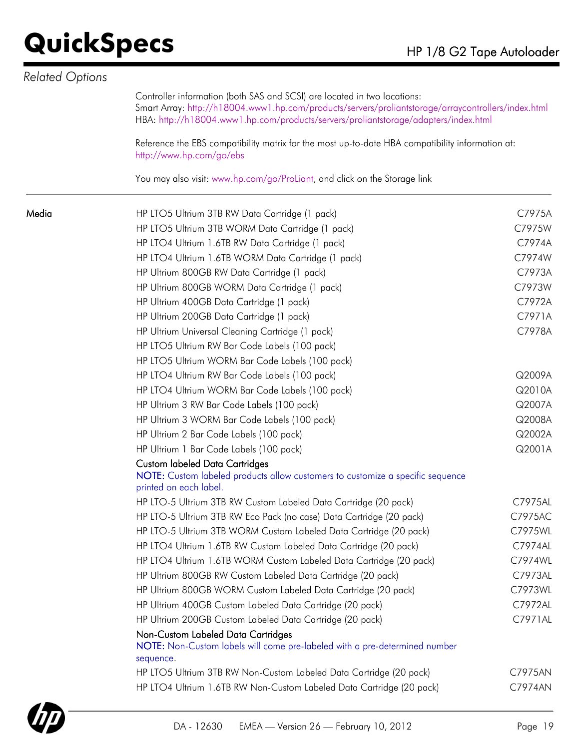| Related Options |                                                                                                                                                                                                                                                                        |         |
|-----------------|------------------------------------------------------------------------------------------------------------------------------------------------------------------------------------------------------------------------------------------------------------------------|---------|
|                 | Controller information (both SAS and SCSI) are located in two locations:<br>Smart Array: http://h18004.www1.hp.com/products/servers/proliantstorage/arraycontrollers/index.html<br>HBA: http://h18004.www1.hp.com/products/servers/proliantstorage/adapters/index.html |         |
|                 | Reference the EBS compatibility matrix for the most up-to-date HBA compatibility information at:<br>http://www.hp.com/go/ebs                                                                                                                                           |         |
|                 | You may also visit: www.hp.com/go/ProLiant, and click on the Storage link                                                                                                                                                                                              |         |
| Media           | HP LTO5 Ultrium 3TB RW Data Cartridge (1 pack)                                                                                                                                                                                                                         | C7975A  |
|                 | HP LTO5 Ultrium 3TB WORM Data Cartridge (1 pack)                                                                                                                                                                                                                       | C7975W  |
|                 | HP LTO4 Ultrium 1.6TB RW Data Cartridge (1 pack)                                                                                                                                                                                                                       | C7974A  |
|                 | HP LTO4 Ultrium 1.6TB WORM Data Cartridge (1 pack)                                                                                                                                                                                                                     | C7974W  |
|                 | HP Ultrium 800GB RW Data Cartridge (1 pack)                                                                                                                                                                                                                            | C7973A  |
|                 | HP Ultrium 800GB WORM Data Cartridge (1 pack)                                                                                                                                                                                                                          | C7973W  |
|                 | HP Ultrium 400GB Data Cartridge (1 pack)                                                                                                                                                                                                                               | C7972A  |
|                 | HP Ultrium 200GB Data Cartridge (1 pack)                                                                                                                                                                                                                               | C7971A  |
|                 | HP Ultrium Universal Cleaning Cartridge (1 pack)                                                                                                                                                                                                                       | C7978A  |
|                 | HP LTO5 Ultrium RW Bar Code Labels (100 pack)                                                                                                                                                                                                                          |         |
|                 | HP LTO5 Ultrium WORM Bar Code Labels (100 pack)                                                                                                                                                                                                                        |         |
|                 | HP LTO4 Ultrium RW Bar Code Labels (100 pack)                                                                                                                                                                                                                          | Q2009A  |
|                 | HP LTO4 Ultrium WORM Bar Code Labels (100 pack)                                                                                                                                                                                                                        | Q2010A  |
|                 | HP Ultrium 3 RW Bar Code Labels (100 pack)                                                                                                                                                                                                                             | Q2007A  |
|                 | HP Ultrium 3 WORM Bar Code Labels (100 pack)                                                                                                                                                                                                                           | Q2008A  |
|                 | HP Ultrium 2 Bar Code Labels (100 pack)                                                                                                                                                                                                                                | Q2002A  |
|                 | HP Ultrium 1 Bar Code Labels (100 pack)                                                                                                                                                                                                                                | Q2001A  |
|                 | <b>Custom labeled Data Cartridges</b><br>NOTE: Custom labeled products allow customers to customize a specific sequence<br>printed on each label.                                                                                                                      |         |
|                 | HP LTO-5 Ultrium 3TB RW Custom Labeled Data Cartridge (20 pack)                                                                                                                                                                                                        | C7975AL |
|                 | HP LTO-5 Ultrium 3TB RW Eco Pack (no case) Data Cartridge (20 pack)                                                                                                                                                                                                    | C7975AC |
|                 | HP LTO-5 Ultrium 3TB WORM Custom Labeled Data Cartridge (20 pack)                                                                                                                                                                                                      | C7975WL |
|                 | HP LTO4 Ultrium 1.6TB RW Custom Labeled Data Cartridge (20 pack)                                                                                                                                                                                                       | C7974AL |
|                 | HP LTO4 Ultrium 1.6TB WORM Custom Labeled Data Cartridge (20 pack)                                                                                                                                                                                                     | C7974WL |
|                 | HP Ultrium 800GB RW Custom Labeled Data Cartridge (20 pack)                                                                                                                                                                                                            | C7973AL |
|                 | HP Ultrium 800GB WORM Custom Labeled Data Cartridge (20 pack)                                                                                                                                                                                                          | C7973WL |
|                 | HP Ultrium 400GB Custom Labeled Data Cartridge (20 pack)                                                                                                                                                                                                               | C7972AL |
|                 | HP Ultrium 200GB Custom Labeled Data Cartridge (20 pack)                                                                                                                                                                                                               | C7971AL |
|                 | Non-Custom Labeled Data Cartridges<br>NOTE: Non-Custom labels will come pre-labeled with a pre-determined number<br>sequence.                                                                                                                                          |         |
|                 | HP LTO5 Ultrium 3TB RW Non-Custom Labeled Data Cartridge (20 pack)                                                                                                                                                                                                     | C7975AN |
|                 | HP LTO4 Ultrium 1.6TB RW Non-Custom Labeled Data Cartridge (20 pack)                                                                                                                                                                                                   | C7974AN |

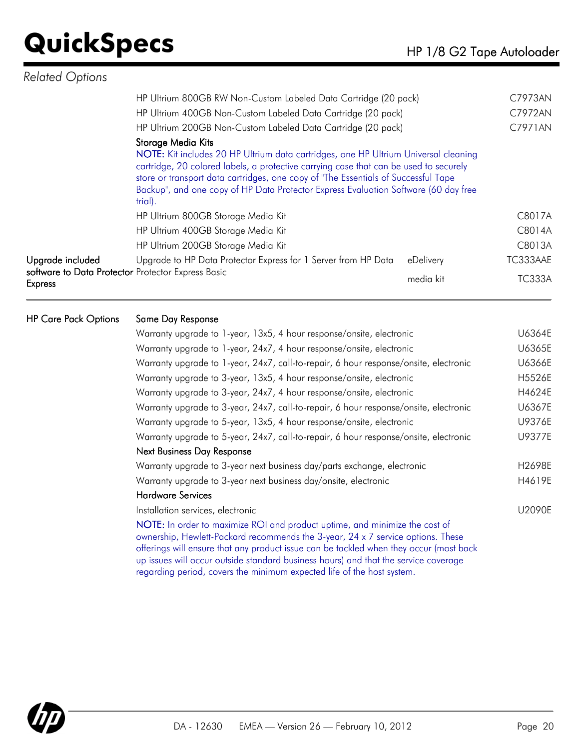| <b>Related Options</b>                                                                            |                                                                                                                                                                                                                                                                                                                                                                                            |           |               |
|---------------------------------------------------------------------------------------------------|--------------------------------------------------------------------------------------------------------------------------------------------------------------------------------------------------------------------------------------------------------------------------------------------------------------------------------------------------------------------------------------------|-----------|---------------|
|                                                                                                   | HP Ultrium 800GB RW Non-Custom Labeled Data Cartridge (20 pack)                                                                                                                                                                                                                                                                                                                            |           | C7973AN       |
|                                                                                                   | HP Ultrium 400GB Non-Custom Labeled Data Cartridge (20 pack)                                                                                                                                                                                                                                                                                                                               |           | C7972AN       |
|                                                                                                   | HP Ultrium 200GB Non-Custom Labeled Data Cartridge (20 pack)                                                                                                                                                                                                                                                                                                                               |           | C7971AN       |
|                                                                                                   | Storage Media Kits<br>NOTE: Kit includes 20 HP Ultrium data cartridges, one HP Ultrium Universal cleaning<br>cartridge, 20 colored labels, a protective carrying case that can be used to securely<br>store or transport data cartridges, one copy of "The Essentials of Successful Tape<br>Backup", and one copy of HP Data Protector Express Evaluation Software (60 day free<br>trial). |           |               |
|                                                                                                   | HP Ultrium 800GB Storage Media Kit                                                                                                                                                                                                                                                                                                                                                         |           | C8017A        |
|                                                                                                   | HP Ultrium 400GB Storage Media Kit                                                                                                                                                                                                                                                                                                                                                         |           | C8014A        |
|                                                                                                   | HP Ultrium 200GB Storage Media Kit                                                                                                                                                                                                                                                                                                                                                         |           | C8013A        |
| Upgrade included                                                                                  | Upgrade to HP Data Protector Express for 1 Server from HP Data                                                                                                                                                                                                                                                                                                                             | eDelivery | TC333AAE      |
| software to Data Protector Protector Express Basic<br><b>Express</b>                              |                                                                                                                                                                                                                                                                                                                                                                                            | media kit | <b>TC333A</b> |
| $\mathbf{u} \circ \mathbf{v}$ and $\mathbf{v} \circ \mathbf{v}$ and $\mathbf{v} \circ \mathbf{v}$ |                                                                                                                                                                                                                                                                                                                                                                                            |           |               |

HP Care Pack Options Same Day Response

| Warranty upgrade to 1-year, 13x5, 4 hour response/onsite, electronic                                                                                                                                                                                                                                                                            | U6364E |
|-------------------------------------------------------------------------------------------------------------------------------------------------------------------------------------------------------------------------------------------------------------------------------------------------------------------------------------------------|--------|
| Warranty upgrade to 1-year, 24x7, 4 hour response/onsite, electronic                                                                                                                                                                                                                                                                            | U6365E |
| Warranty upgrade to 1-year, 24x7, call-to-repair, 6 hour response/onsite, electronic                                                                                                                                                                                                                                                            | U6366E |
| Warranty upgrade to 3-year, 13x5, 4 hour response/onsite, electronic                                                                                                                                                                                                                                                                            | H5526E |
| Warranty upgrade to 3-year, 24x7, 4 hour response/onsite, electronic                                                                                                                                                                                                                                                                            | H4624E |
| Warranty upgrade to 3-year, 24x7, call-to-repair, 6 hour response/onsite, electronic                                                                                                                                                                                                                                                            | U6367E |
| Warranty upgrade to 5-year, 13x5, 4 hour response/onsite, electronic                                                                                                                                                                                                                                                                            | U9376E |
| Warranty upgrade to 5-year, 24x7, call-to-repair, 6 hour response/onsite, electronic                                                                                                                                                                                                                                                            | U9377E |
| <b>Next Business Day Response</b>                                                                                                                                                                                                                                                                                                               |        |
| Warranty upgrade to 3-year next business day/parts exchange, electronic                                                                                                                                                                                                                                                                         | H2698E |
| Warranty upgrade to 3-year next business day/onsite, electronic                                                                                                                                                                                                                                                                                 | H4619E |
| <b>Hardware Services</b>                                                                                                                                                                                                                                                                                                                        |        |
| Installation services, electronic                                                                                                                                                                                                                                                                                                               | U2090E |
| NOTE: In order to maximize ROI and product uptime, and minimize the cost of<br>ownership, Hewlett-Packard recommends the 3-year, 24 x 7 service options. These<br>offerings will ensure that any product issue can be tackled when they occur (most back<br>up issues will occur outside standard business hours) and that the service coverage |        |



regarding period, covers the minimum expected life of the host system.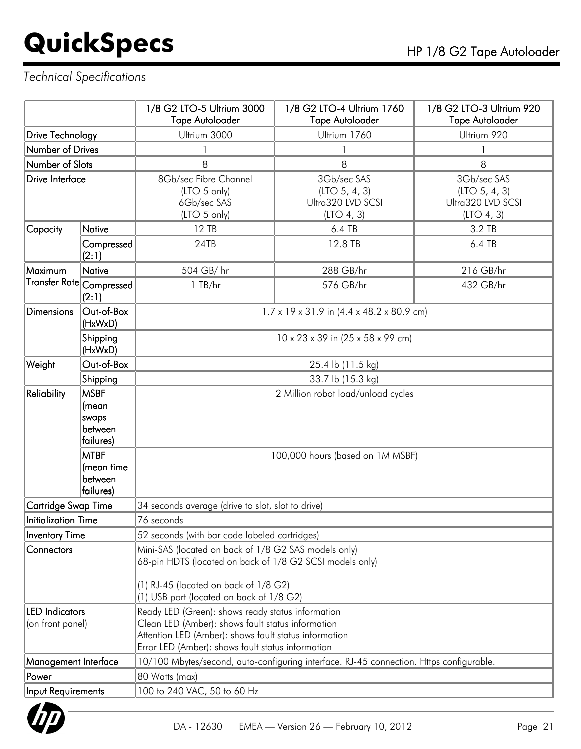## *Technical Specifications*

|                                                         |                                                                | 1/8 G2 LTO-5 Ultrium 3000<br><b>Tape Autoloader</b>                                                                                                                                                                  | 1/8 G2 LTO-4 Ultrium 1760<br><b>Tape Autoloader</b>               | 1/8 G2 LTO-3 Ultrium 920<br><b>Tape Autoloader</b>              |  |
|---------------------------------------------------------|----------------------------------------------------------------|----------------------------------------------------------------------------------------------------------------------------------------------------------------------------------------------------------------------|-------------------------------------------------------------------|-----------------------------------------------------------------|--|
| <b>Drive Technology</b>                                 |                                                                | Ultrium 3000                                                                                                                                                                                                         | Ultrium 1760                                                      | Ultrium 920                                                     |  |
| Number of Drives                                        |                                                                |                                                                                                                                                                                                                      | 1                                                                 |                                                                 |  |
| Number of Slots                                         |                                                                | 8                                                                                                                                                                                                                    | 8                                                                 | 8                                                               |  |
| Drive Interface                                         |                                                                | 8Gb/sec Fibre Channel<br>(LTO 5 only)<br>6Gb/sec SAS<br>(LTO 5 only)                                                                                                                                                 | 3Gb/sec SAS<br>(LTO 5, 4, 3)<br>Ultra320 LVD SCSI<br>(LTO 4, 3)   | 3Gb/sec SAS<br>(LTO 5, 4, 3)<br>Ultra320 LVD SCSI<br>(LTO 4, 3) |  |
| Capacity                                                | <b>Native</b>                                                  | 12 TB                                                                                                                                                                                                                | 6.4 TB                                                            | 3.2 TB                                                          |  |
|                                                         | Compressed<br>(2:1)                                            | 24TB                                                                                                                                                                                                                 | 12.8 TB                                                           | 6.4 TB                                                          |  |
| Maximum                                                 | <b>Native</b>                                                  | 504 GB/hr                                                                                                                                                                                                            | 288 GB/hr                                                         | 216 GB/hr                                                       |  |
|                                                         | Transfer Rate Compressed<br>(2:1)                              | 1 TB/hr                                                                                                                                                                                                              | 576 GB/hr                                                         | 432 GB/hr                                                       |  |
| Dimensions                                              | Out-of-Box<br>(HxWxD)                                          |                                                                                                                                                                                                                      | $1.7 \times 19 \times 31.9$ in $(4.4 \times 48.2 \times 80.9$ cm) |                                                                 |  |
|                                                         | Shipping<br>(HxWxD)                                            | 10 x 23 x 39 in (25 x 58 x 99 cm)                                                                                                                                                                                    |                                                                   |                                                                 |  |
| Weight                                                  | Out-of-Box                                                     | 25.4 lb (11.5 kg)                                                                                                                                                                                                    |                                                                   |                                                                 |  |
|                                                         | Shipping                                                       | 33.7 lb (15.3 kg)                                                                                                                                                                                                    |                                                                   |                                                                 |  |
| Reliability<br><b>MSBF</b><br>(mean<br>swaps<br>between |                                                                | 2 Million robot load/unload cycles                                                                                                                                                                                   |                                                                   |                                                                 |  |
|                                                         | failures)<br><b>MTBF</b><br>(mean time<br>between<br>failures) | 100,000 hours (based on 1M MSBF)                                                                                                                                                                                     |                                                                   |                                                                 |  |
| Cartridge Swap Time                                     |                                                                | 34 seconds average (drive to slot, slot to drive)                                                                                                                                                                    |                                                                   |                                                                 |  |
| Initialization Time                                     |                                                                | 76 seconds                                                                                                                                                                                                           |                                                                   |                                                                 |  |
| Inventory Time                                          |                                                                | 52 seconds (with bar code labeled cartridges)                                                                                                                                                                        |                                                                   |                                                                 |  |
| Connectors                                              |                                                                | Mini-SAS (located on back of 1/8 G2 SAS models only)<br>68-pin HDTS (located on back of 1/8 G2 SCSI models only)<br>$(1)$ RJ-45 (located on back of $1/8$ G2)<br>(1) USB port (located on back of 1/8 G2)            |                                                                   |                                                                 |  |
| <b>LED</b> Indicators<br>(on front panel)               |                                                                | Ready LED (Green): shows ready status information<br>Clean LED (Amber): shows fault status information<br>Attention LED (Amber): shows fault status information<br>Error LED (Amber): shows fault status information |                                                                   |                                                                 |  |
| Management Interface                                    |                                                                | 10/100 Mbytes/second, auto-configuring interface. RJ-45 connection. Https configurable.                                                                                                                              |                                                                   |                                                                 |  |
| Power                                                   |                                                                | 80 Watts (max)                                                                                                                                                                                                       |                                                                   |                                                                 |  |
| Input Requirements                                      |                                                                | 100 to 240 VAC, 50 to 60 Hz                                                                                                                                                                                          |                                                                   |                                                                 |  |